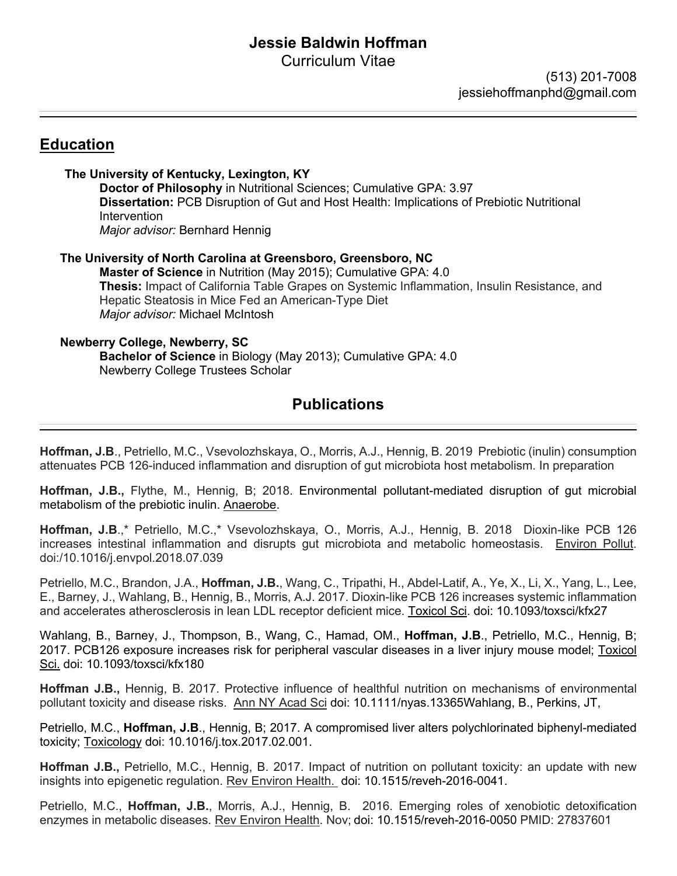# **Jessie Baldwin Hoffman**

Curriculum Vitae

 (513) 201-7008 jessiehoffmanphd@gmail.com

# **Education**

**The University of Kentucky, Lexington, KY Doctor of Philosophy** in Nutritional Sciences; Cumulative GPA: 3.97 **Dissertation:** PCB Disruption of Gut and Host Health: Implications of Prebiotic Nutritional Intervention *Major advisor:* Bernhard Hennig

 **The University of North Carolina at Greensboro, Greensboro, NC Master of Science** in Nutrition (May 2015); Cumulative GPA: 4.0 **Thesis:** Impact of California Table Grapes on Systemic Inflammation, Insulin Resistance, and Hepatic Steatosis in Mice Fed an American-Type Diet *Major advisor:* Michael McIntosh

# **Newberry College, Newberry, SC**

**Bachelor of Science** in Biology (May 2013); Cumulative GPA: 4.0 Newberry College Trustees Scholar

# **Publications**

**Hoffman, J.B**., Petriello, M.C., Vsevolozhskaya, O., Morris, A.J., Hennig, B. 2019 Prebiotic (inulin) consumption attenuates PCB 126-induced inflammation and disruption of gut microbiota host metabolism. In preparation

**Hoffman, J.B.,** Flythe, M., Hennig, B; 2018. Environmental pollutant-mediated disruption of gut microbial metabolism of the prebiotic inulin. Anaerobe.

**Hoffman, J.B**.,\* Petriello, M.C.,\* Vsevolozhskaya, O., Morris, A.J., Hennig, B. 2018 Dioxin-like PCB 126 increases intestinal inflammation and disrupts gut microbiota and metabolic homeostasis. Environ Pollut. doi:/10.1016/j.envpol.2018.07.039

Petriello, M.C., Brandon, J.A., **Hoffman, J.B.**, Wang, C., Tripathi, H., Abdel-Latif, A., Ye, X., Li, X., Yang, L., Lee, E., Barney, J., Wahlang, B., Hennig, B., Morris, A.J. 2017. Dioxin-like PCB 126 increases systemic inflammation and accelerates atherosclerosis in lean LDL receptor deficient mice. Toxicol Sci. doi: 10.1093/toxsci/kfx27

Wahlang, B., Barney, J., Thompson, B., Wang, C., Hamad, OM., **Hoffman, J.B**., Petriello, M.C., Hennig, B; 2017. PCB126 exposure increases risk for peripheral vascular diseases in a liver injury mouse model; Toxicol Sci. doi: 10.1093/toxsci/kfx180

**Hoffman J.B.,** Hennig, B. 2017. Protective influence of healthful nutrition on mechanisms of environmental pollutant toxicity and disease risks. Ann NY Acad Sci doi: 10.1111/nyas.13365Wahlang, B., Perkins, JT,

Petriello, M.C., **Hoffman, J.B**., Hennig, B; 2017. A compromised liver alters polychlorinated biphenyl-mediated toxicity; Toxicology doi: 10.1016/j.tox.2017.02.001.

**Hoffman J.B.,** Petriello, M.C., Hennig, B. 2017. Impact of nutrition on pollutant toxicity: an update with new insights into epigenetic regulation. Rev Environ Health. doi: 10.1515/reveh-2016-0041.

Petriello, M.C., **Hoffman, J.B.**, Morris, A.J., Hennig, B. 2016. Emerging roles of xenobiotic detoxification enzymes in metabolic diseases. Rev Environ Health. Nov; doi: 10.1515/reveh-2016-0050 PMID: 27837601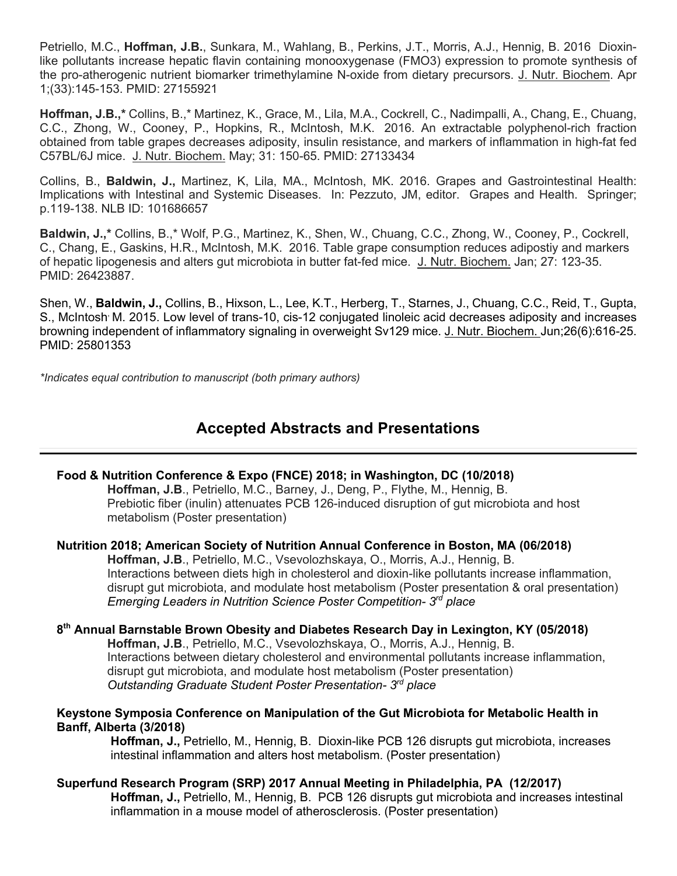Petriello, M.C., **Hoffman, J.B.**, Sunkara, M., Wahlang, B., Perkins, J.T., Morris, A.J., Hennig, B. 2016 Dioxinlike pollutants increase hepatic flavin containing monooxygenase (FMO3) expression to promote synthesis of the pro-atherogenic nutrient biomarker trimethylamine N-oxide from dietary precursors. J. Nutr. Biochem. Apr 1;(33):145-153. PMID: 27155921

**Hoffman, J.B.,\*** Collins, B.,\* Martinez, K., Grace, M., Lila, M.A., Cockrell, C., Nadimpalli, A., Chang, E., Chuang, C.C., Zhong, W., Cooney, P., Hopkins, R., McIntosh, M.K. 2016. An extractable polyphenol-rich fraction obtained from table grapes decreases adiposity, insulin resistance, and markers of inflammation in high-fat fed C57BL/6J mice. J. Nutr. Biochem. May; 31: 150-65. PMID: 27133434

Collins, B., **Baldwin, J.,** Martinez, K, Lila, MA., McIntosh, MK. 2016. Grapes and Gastrointestinal Health: Implications with Intestinal and Systemic Diseases. In: Pezzuto, JM, editor. Grapes and Health. Springer; p.119-138. NLB ID: 101686657

**Baldwin, J.,\*** Collins, B.,\* Wolf, P.G., Martinez, K., Shen, W., Chuang, C.C., Zhong, W., Cooney, P., Cockrell, C., Chang, E., Gaskins, H.R., McIntosh, M.K. 2016. Table grape consumption reduces adipostiy and markers of hepatic lipogenesis and alters gut microbiota in butter fat-fed mice. J. Nutr. Biochem. Jan; 27: 123-35. PMID: 26423887.

Shen, W., **Baldwin, J.,** Collins, B., Hixson, L., Lee, K.T., Herberg, T., Starnes, J., Chuang, C.C., Reid, T., Gupta, S., McIntosh, M. 2015. Low level of trans-10, cis-12 conjugated linoleic acid decreases adiposity and increases browning independent of inflammatory signaling in overweight Sv129 mice. J. Nutr. Biochem. Jun;26(6):616-25. PMID: 25801353

*\*Indicates equal contribution to manuscript (both primary authors)*

# **Accepted Abstracts and Presentations**

# **Food & Nutrition Conference & Expo (FNCE) 2018; in Washington, DC (10/2018)**

 **Hoffman, J.B**., Petriello, M.C., Barney, J., Deng, P., Flythe, M., Hennig, B. Prebiotic fiber (inulin) attenuates PCB 126-induced disruption of gut microbiota and host metabolism (Poster presentation)

# **Nutrition 2018; American Society of Nutrition Annual Conference in Boston, MA (06/2018)**

 **Hoffman, J.B**., Petriello, M.C., Vsevolozhskaya, O., Morris, A.J., Hennig, B. Interactions between diets high in cholesterol and dioxin-like pollutants increase inflammation, disrupt gut microbiota, and modulate host metabolism (Poster presentation & oral presentation)  *Emerging Leaders in Nutrition Science Poster Competition- 3rd place*

# **8th Annual Barnstable Brown Obesity and Diabetes Research Day in Lexington, KY (05/2018)**

 **Hoffman, J.B**., Petriello, M.C., Vsevolozhskaya, O., Morris, A.J., Hennig, B. Interactions between dietary cholesterol and environmental pollutants increase inflammation, disrupt gut microbiota, and modulate host metabolism (Poster presentation)  *Outstanding Graduate Student Poster Presentation- 3rd place*

#### **Keystone Symposia Conference on Manipulation of the Gut Microbiota for Metabolic Health in Banff, Alberta (3/2018)**

 **Hoffman, J.,** Petriello, M., Hennig, B. Dioxin-like PCB 126 disrupts gut microbiota, increases intestinal inflammation and alters host metabolism. (Poster presentation)

# **Superfund Research Program (SRP) 2017 Annual Meeting in Philadelphia, PA (12/2017)**

 **Hoffman, J.,** Petriello, M., Hennig, B. PCB 126 disrupts gut microbiota and increases intestinal inflammation in a mouse model of atherosclerosis. (Poster presentation)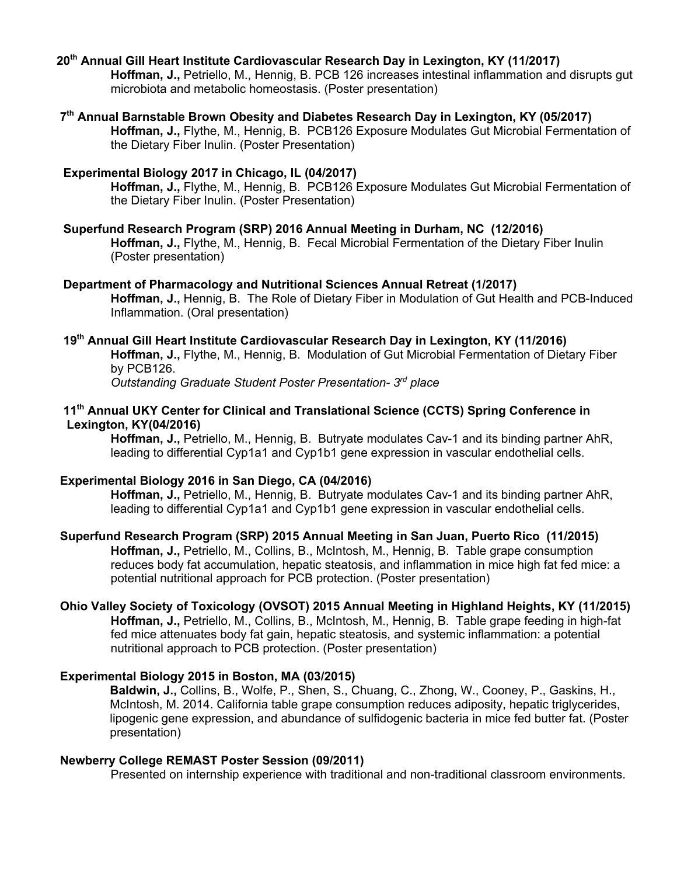#### **20th Annual Gill Heart Institute Cardiovascular Research Day in Lexington, KY (11/2017)**

 **Hoffman, J.,** Petriello, M., Hennig, B. PCB 126 increases intestinal inflammation and disrupts gut microbiota and metabolic homeostasis. (Poster presentation)

#### **7th Annual Barnstable Brown Obesity and Diabetes Research Day in Lexington, KY (05/2017) Hoffman, J.,** Flythe, M., Hennig, B.PCB126 Exposure Modulates Gut Microbial Fermentation of the Dietary Fiber Inulin. (Poster Presentation)

#### **Experimental Biology 2017 in Chicago, IL (04/2017)**

 **Hoffman, J.,** Flythe, M., Hennig, B.PCB126 Exposure Modulates Gut Microbial Fermentation of the Dietary Fiber Inulin. (Poster Presentation)

#### **Superfund Research Program (SRP) 2016 Annual Meeting in Durham, NC (12/2016)**

 **Hoffman, J.,** Flythe, M., Hennig, B. Fecal Microbial Fermentation of the Dietary Fiber Inulin (Poster presentation)

#### **Department of Pharmacology and Nutritional Sciences Annual Retreat (1/2017)**

 **Hoffman, J.,** Hennig, B.The Role of Dietary Fiber in Modulation of Gut Health and PCB-Induced Inflammation. (Oral presentation)

### **19th Annual Gill Heart Institute Cardiovascular Research Day in Lexington, KY (11/2016)**

 **Hoffman, J.,** Flythe, M., Hennig, B.Modulation of Gut Microbial Fermentation of Dietary Fiber by PCB126.

 *Outstanding Graduate Student Poster Presentation- 3rd place*

## **11th Annual UKY Center for Clinical and Translational Science (CCTS) Spring Conference in Lexington, KY(04/2016)**

 **Hoffman, J.,** Petriello, M., Hennig, B.Butryate modulates Cav-1 and its binding partner AhR, leading to differential Cyp1a1 and Cyp1b1 gene expression in vascular endothelial cells.

# **Experimental Biology 2016 in San Diego, CA (04/2016)**

 **Hoffman, J.,** Petriello, M., Hennig, B.Butryate modulates Cav-1 and its binding partner AhR, leading to differential Cyp1a1 and Cyp1b1 gene expression in vascular endothelial cells.

# **Superfund Research Program (SRP) 2015 Annual Meeting in San Juan, Puerto Rico (11/2015)**

 **Hoffman, J.,** Petriello, M., Collins, B., McIntosh, M., Hennig, B. Table grape consumption reduces body fat accumulation, hepatic steatosis, and inflammation in mice high fat fed mice: a potential nutritional approach for PCB protection. (Poster presentation)

# **Ohio Valley Society of Toxicology (OVSOT) 2015 Annual Meeting in Highland Heights, KY (11/2015)**

 **Hoffman, J.,** Petriello, M., Collins, B., McIntosh, M., Hennig, B. Table grape feeding in high-fat fed mice attenuates body fat gain, hepatic steatosis, and systemic inflammation: a potential nutritional approach to PCB protection. (Poster presentation)

#### **Experimental Biology 2015 in Boston, MA (03/2015)**

 **Baldwin, J.,** Collins, B., Wolfe, P., Shen, S., Chuang, C., Zhong, W., Cooney, P., Gaskins, H., McIntosh, M. 2014. California table grape consumption reduces adiposity, hepatic triglycerides, lipogenic gene expression, and abundance of sulfidogenic bacteria in mice fed butter fat. (Poster presentation)

#### **Newberry College REMAST Poster Session (09/2011)**

Presented on internship experience with traditional and non-traditional classroom environments.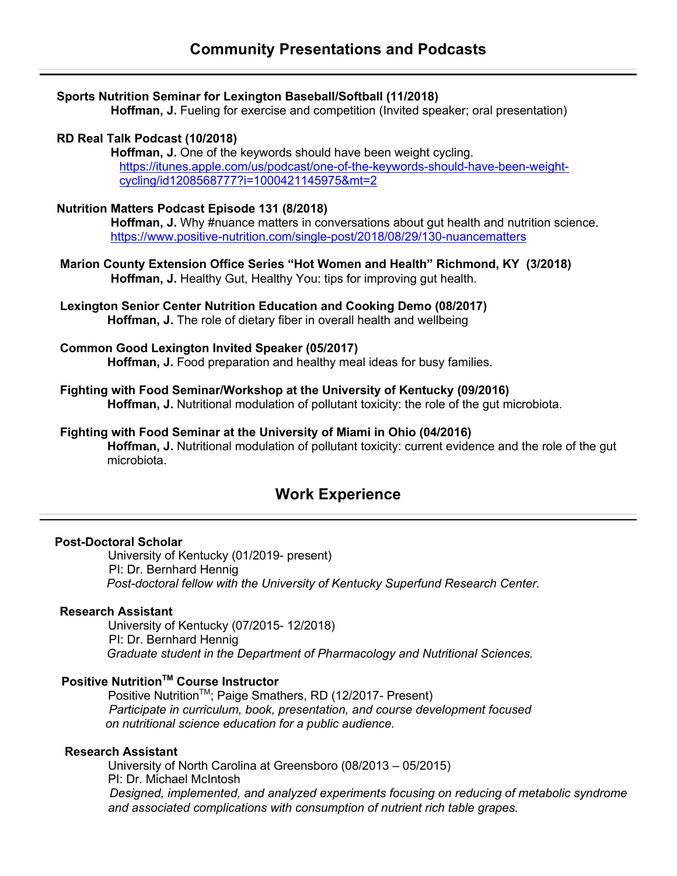#### **Sports Nutrition Seminar for Lexington Baseball/Softball (11/2018)**

**Hoffman, J.** Fueling for exercise and competition (Invited speaker; oral presentation)

#### **RD Real Talk Podcast (10/2018)**

 **Hoffman, J.** One of the keywords should have been weight cycling. https://itunes.apple.com/us/podcast/one-of-the-keywords-should-have-been-weightcycling/id1208568777?i=1000421145975&mt=2

#### **Nutrition Matters Podcast Episode 131 (8/2018)**

Hoffman, J. Why #nuance matters in conversations about gut health and nutrition science. https://www.positive-nutrition.com/single-post/2018/08/29/130-nuancematters

- **Marion County Extension Office Series "Hot Women and Health" Richmond, KY (3/2018) Hoffman, J.** Healthy Gut, Healthy You: tips for improving gut health.
- **Lexington Senior Center Nutrition Education and Cooking Demo (08/2017) Hoffman, J.** The role of dietary fiber in overall health and wellbeing

#### **Common Good Lexington Invited Speaker (05/2017)**

 **Hoffman, J.** Food preparation and healthy meal ideas for busy families.

- **Fighting with Food Seminar/Workshop at the University of Kentucky (09/2016) Hoffman, J.** Nutritional modulation of pollutant toxicity: the role of the gut microbiota.
- **Fighting with Food Seminar at the University of Miami in Ohio (04/2016) Hoffman, J.** Nutritional modulation of pollutant toxicity: current evidence and the role of the gut microbiota.

# **Work Experience**

#### **Post-Doctoral Scholar**

 University of Kentucky (01/2019- present) PI: Dr. Bernhard Hennig *Post-doctoral fellow with the University of Kentucky Superfund Research Center.*

#### **Research Assistant**

 University of Kentucky (07/2015- 12/2018) PI: Dr. Bernhard Hennig *Graduate student in the Department of Pharmacology and Nutritional Sciences.*

# **Positive Nutrition™ Course Instructor**

Positive Nutrition<sup>™</sup>; Paige Smathers, RD (12/2017- Present) *Participate in curriculum, book, presentation, and course development focused on nutritional science education for a public audience.*

#### **Research Assistant**

 University of North Carolina at Greensboro (08/2013 – 05/2015) PI: Dr. Michael McIntosh *Designed, implemented, and analyzed experiments focusing on reducing of metabolic syndrome and associated complications with consumption of nutrient rich table grapes.*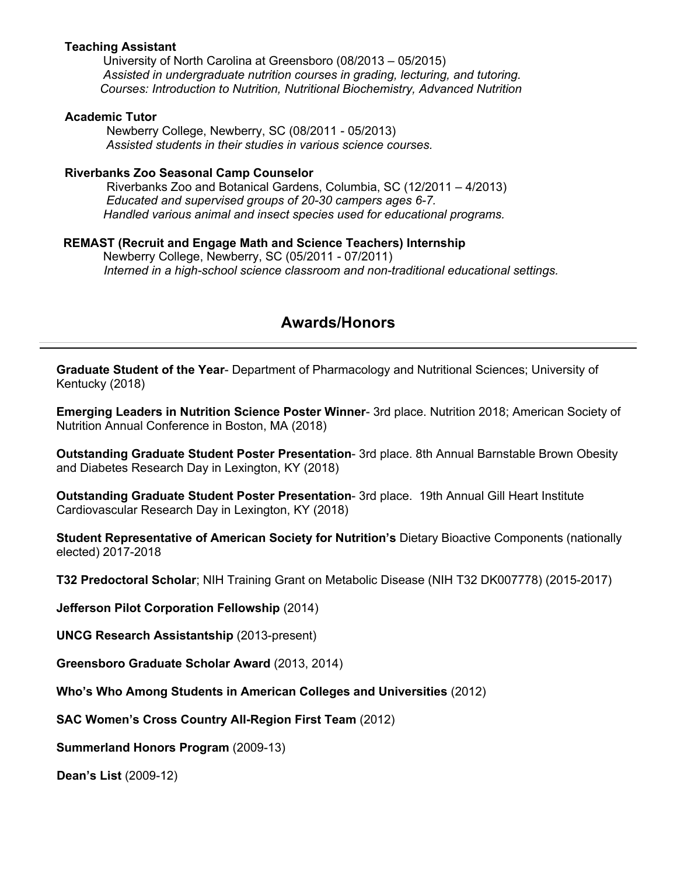#### **Teaching Assistant**

University of North Carolina at Greensboro (08/2013 – 05/2015) *Assisted in undergraduate nutrition courses in grading, lecturing, and tutoring. Courses: Introduction to Nutrition, Nutritional Biochemistry, Advanced Nutrition*

#### **Academic Tutor**

Newberry College, Newberry, SC (08/2011 - 05/2013)  *Assisted students in their studies in various science courses.*

#### **Riverbanks Zoo Seasonal Camp Counselor**

 Riverbanks Zoo and Botanical Gardens, Columbia, SC (12/2011 – 4/2013)  *Educated and supervised groups of 20-30 campers ages 6-7. Handled various animal and insect species used for educational programs.* 

#### **REMAST (Recruit and Engage Math and Science Teachers) Internship**

Newberry College, Newberry, SC (05/2011 - 07/2011)  *Interned in a high-school science classroom and non-traditional educational settings.* 

# **Awards/Honors**

**Graduate Student of the Year**- Department of Pharmacology and Nutritional Sciences; University of Kentucky (2018)

**Emerging Leaders in Nutrition Science Poster Winner**- 3rd place. Nutrition 2018; American Society of Nutrition Annual Conference in Boston, MA (2018)

**Outstanding Graduate Student Poster Presentation**- 3rd place. 8th Annual Barnstable Brown Obesity and Diabetes Research Day in Lexington, KY (2018)

**Outstanding Graduate Student Poster Presentation**- 3rd place. 19th Annual Gill Heart Institute Cardiovascular Research Day in Lexington, KY (2018)

**Student Representative of American Society for Nutrition's** Dietary Bioactive Components (nationally elected) 2017-2018

**T32 Predoctoral Scholar**; NIH Training Grant on Metabolic Disease (NIH T32 DK007778) (2015-2017)

**Jefferson Pilot Corporation Fellowship** (2014)

**UNCG Research Assistantship** (2013-present)

**Greensboro Graduate Scholar Award** (2013, 2014)

**Who's Who Among Students in American Colleges and Universities** (2012)

**SAC Women's Cross Country All-Region First Team** (2012)

**Summerland Honors Program** (2009-13)

 **Dean's List** (2009-12)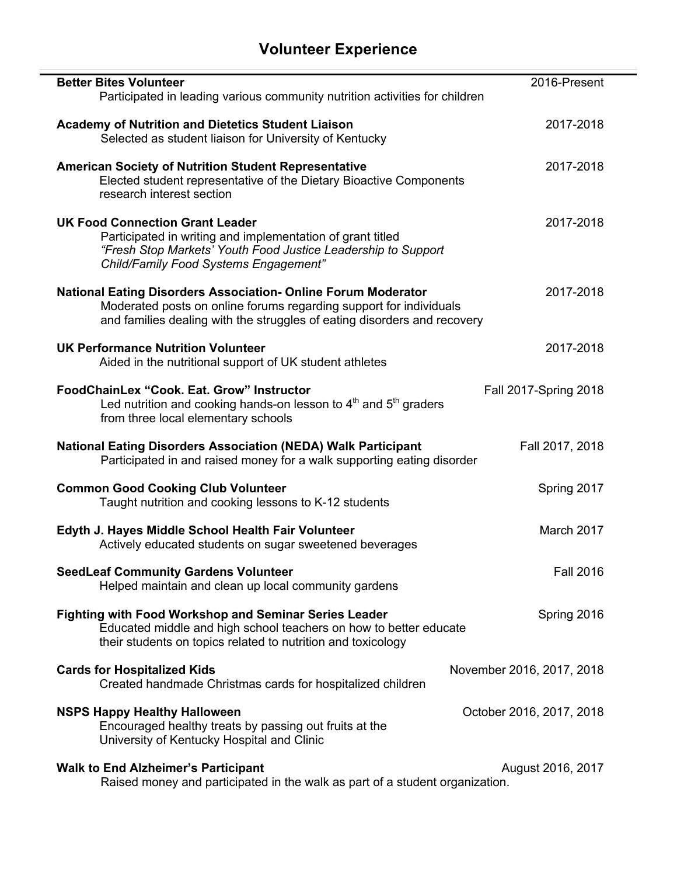# **Volunteer Experience**

| <b>Better Bites Volunteer</b>                                                                                                                                                                                          | 2016-Present              |
|------------------------------------------------------------------------------------------------------------------------------------------------------------------------------------------------------------------------|---------------------------|
| Participated in leading various community nutrition activities for children                                                                                                                                            |                           |
| <b>Academy of Nutrition and Dietetics Student Liaison</b><br>Selected as student liaison for University of Kentucky                                                                                                    | 2017-2018                 |
| <b>American Society of Nutrition Student Representative</b><br>Elected student representative of the Dietary Bioactive Components<br>research interest section                                                         | 2017-2018                 |
| <b>UK Food Connection Grant Leader</b><br>Participated in writing and implementation of grant titled<br>"Fresh Stop Markets' Youth Food Justice Leadership to Support<br>Child/Family Food Systems Engagement"         | 2017-2018                 |
| <b>National Eating Disorders Association- Online Forum Moderator</b><br>Moderated posts on online forums regarding support for individuals<br>and families dealing with the struggles of eating disorders and recovery | 2017-2018                 |
| <b>UK Performance Nutrition Volunteer</b><br>Aided in the nutritional support of UK student athletes                                                                                                                   | 2017-2018                 |
| FoodChainLex "Cook, Eat. Grow" Instructor<br>Led nutrition and cooking hands-on lesson to 4 <sup>th</sup> and 5 <sup>th</sup> graders<br>from three local elementary schools                                           | Fall 2017-Spring 2018     |
| <b>National Eating Disorders Association (NEDA) Walk Participant</b><br>Participated in and raised money for a walk supporting eating disorder                                                                         | Fall 2017, 2018           |
| <b>Common Good Cooking Club Volunteer</b><br>Taught nutrition and cooking lessons to K-12 students                                                                                                                     | Spring 2017               |
| Edyth J. Hayes Middle School Health Fair Volunteer<br>Actively educated students on sugar sweetened beverages                                                                                                          | March 2017                |
| <b>SeedLeaf Community Gardens Volunteer</b><br>Helped maintain and clean up local community gardens                                                                                                                    | <b>Fall 2016</b>          |
| <b>Fighting with Food Workshop and Seminar Series Leader</b><br>Educated middle and high school teachers on how to better educate<br>their students on topics related to nutrition and toxicology                      | Spring 2016               |
| <b>Cards for Hospitalized Kids</b><br>Created handmade Christmas cards for hospitalized children                                                                                                                       | November 2016, 2017, 2018 |
| <b>NSPS Happy Healthy Halloween</b><br>Encouraged healthy treats by passing out fruits at the<br>University of Kentucky Hospital and Clinic                                                                            | October 2016, 2017, 2018  |
| <b>Walk to End Alzheimer's Participant</b><br>Raised money and participated in the walk as part of a student organization.                                                                                             | August 2016, 2017         |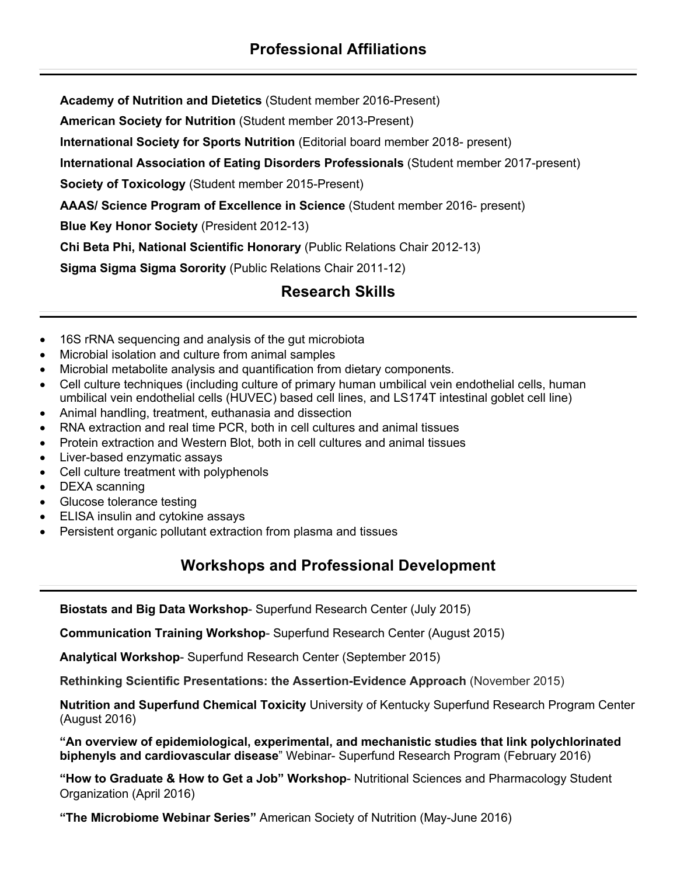**Academy of Nutrition and Dietetics** (Student member 2016-Present)

 **American Society for Nutrition** (Student member 2013-Present)

 **International Society for Sports Nutrition** (Editorial board member 2018- present)

 **International Association of Eating Disorders Professionals** (Student member 2017-present)

 **Society of Toxicology** (Student member 2015-Present)

**AAAS/ Science Program of Excellence in Science** (Student member 2016- present)

 **Blue Key Honor Society** (President 2012-13)

**Chi Beta Phi, National Scientific Honorary** (Public Relations Chair 2012-13)

 **Sigma Sigma Sigma Sorority** (Public Relations Chair 2011-12)

# **Research Skills**

- 16S rRNA sequencing and analysis of the gut microbiota
- Microbial isolation and culture from animal samples
- Microbial metabolite analysis and quantification from dietary components.
- Cell culture techniques (including culture of primary human umbilical vein endothelial cells, human umbilical vein endothelial cells (HUVEC) based cell lines, and LS174T intestinal goblet cell line)
- Animal handling, treatment, euthanasia and dissection
- RNA extraction and real time PCR, both in cell cultures and animal tissues
- Protein extraction and Western Blot, both in cell cultures and animal tissues
- Liver-based enzymatic assays
- Cell culture treatment with polyphenols
- DEXA scanning
- Glucose tolerance testing
- ELISA insulin and cytokine assays
- Persistent organic pollutant extraction from plasma and tissues

# **Workshops and Professional Development**

**Biostats and Big Data Workshop**- Superfund Research Center (July 2015)

**Communication Training Workshop**- Superfund Research Center (August 2015)

**Analytical Workshop**- Superfund Research Center (September 2015)

**Rethinking Scientific Presentations: the Assertion-Evidence Approach** (November 2015)

**Nutrition and Superfund Chemical Toxicity** University of Kentucky Superfund Research Program Center (August 2016)

**"An overview of epidemiological, experimental, and mechanistic studies that link polychlorinated biphenyls and cardiovascular disease**" Webinar- Superfund Research Program (February 2016)

**"How to Graduate & How to Get a Job" Workshop**- Nutritional Sciences and Pharmacology Student Organization (April 2016)

**"The Microbiome Webinar Series"** American Society of Nutrition (May-June 2016)